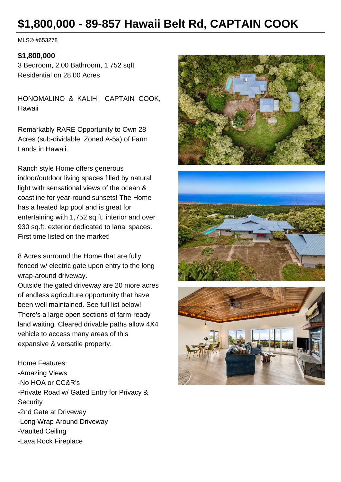# **\$1,800,000 - 89-857 Hawaii Belt Rd, CAPTAIN COOK**

MLS® #653278

#### **\$1,800,000**

3 Bedroom, 2.00 Bathroom, 1,752 sqft Residential on 28.00 Acres

HONOMALINO & KALIHI, CAPTAIN COOK, Hawaii

Remarkably RARE Opportunity to Own 28 Acres (sub-dividable, Zoned A-5a) of Farm Lands in Hawaii.

Ranch style Home offers generous indoor/outdoor living spaces filled by natural light with sensational views of the ocean & coastline for year-round sunsets! The Home has a heated lap pool and is great for entertaining with 1,752 sq.ft. interior and over 930 sq.ft. exterior dedicated to lanai spaces. First time listed on the market!

8 Acres surround the Home that are fully fenced w/ electric gate upon entry to the long wrap-around driveway.

Outside the gated driveway are 20 more acres of endless agriculture opportunity that have been well maintained. See full list below! There's a large open sections of farm-ready land waiting. Cleared drivable paths allow 4X4 vehicle to access many areas of this expansive & versatile property.

Home Features: -Amazing Views -No HOA or CC&R's -Private Road w/ Gated Entry for Privacy & **Security** -2nd Gate at Driveway -Long Wrap Around Driveway -Vaulted Ceiling -Lava Rock Fireplace





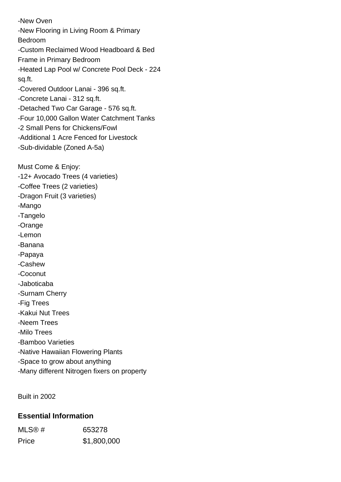-New Oven -New Flooring in Living Room & Primary Bedroom -Custom Reclaimed Wood Headboard & Bed Frame in Primary Bedroom -Heated Lap Pool w/ Concrete Pool Deck - 224 sq.ft. -Covered Outdoor Lanai - 396 sq.ft. -Concrete Lanai - 312 sq.ft. -Detached Two Car Garage - 576 sq.ft. -Four 10,000 Gallon Water Catchment Tanks -2 Small Pens for Chickens/Fowl -Additional 1 Acre Fenced for Livestock -Sub-dividable (Zoned A-5a) Must Come & Enjoy: -12+ Avocado Trees (4 varieties) -Coffee Trees (2 varieties) -Dragon Fruit (3 varieties) -Mango -Tangelo -Orange -Lemon -Banana -Papaya -Cashew -Coconut -Jaboticaba -Surnam Cherry -Fig Trees -Kakui Nut Trees -Neem Trees -Milo Trees -Bamboo Varieties -Native Hawaiian Flowering Plants -Space to grow about anything

Built in 2002

#### **Essential Information**

| MLS@# | 653278      |
|-------|-------------|
| Price | \$1,800,000 |

-Many different Nitrogen fixers on property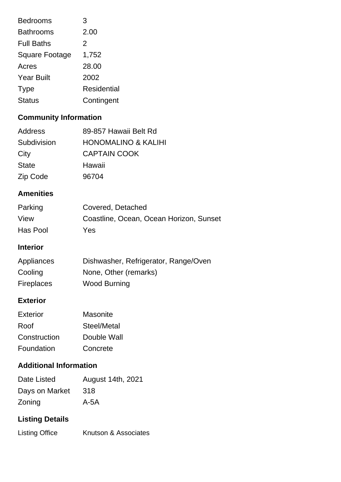| <b>Bedrooms</b>       | 3           |
|-----------------------|-------------|
| <b>Bathrooms</b>      | 2.00        |
| <b>Full Baths</b>     | 2           |
| <b>Square Footage</b> | 1,752       |
| Acres                 | 28.00       |
| <b>Year Built</b>     | 2002        |
| <b>Type</b>           | Residential |
| <b>Status</b>         | Contingent  |

## **Community Information**

| Address      | 89-857 Hawaii Belt Rd          |
|--------------|--------------------------------|
| Subdivision  | <b>HONOMALINO &amp; KALIHI</b> |
| City         | <b>CAPTAIN COOK</b>            |
| <b>State</b> | Hawaii                         |
| Zip Code     | 96704                          |

### **Amenities**

| Parking  | Covered, Detached                       |
|----------|-----------------------------------------|
| View     | Coastline, Ocean, Ocean Horizon, Sunset |
| Has Pool | Yes                                     |

#### **Interior**

| Appliances        | Dishwasher, Refrigerator, Range/Oven |
|-------------------|--------------------------------------|
| Cooling           | None, Other (remarks)                |
| <b>Fireplaces</b> | <b>Wood Burning</b>                  |

#### **Exterior**

| Exterior     | Masonite    |
|--------------|-------------|
| Roof         | Steel/Metal |
| Construction | Double Wall |
| Foundation   | Concrete    |

#### **Additional Information**

| Date Listed    | August 14th, 2021 |
|----------------|-------------------|
| Days on Market | 318               |
| Zoning         | $A-5A$            |

# **Listing Details**

| <b>Listing Office</b> | Knutson & Associates |
|-----------------------|----------------------|
|                       |                      |